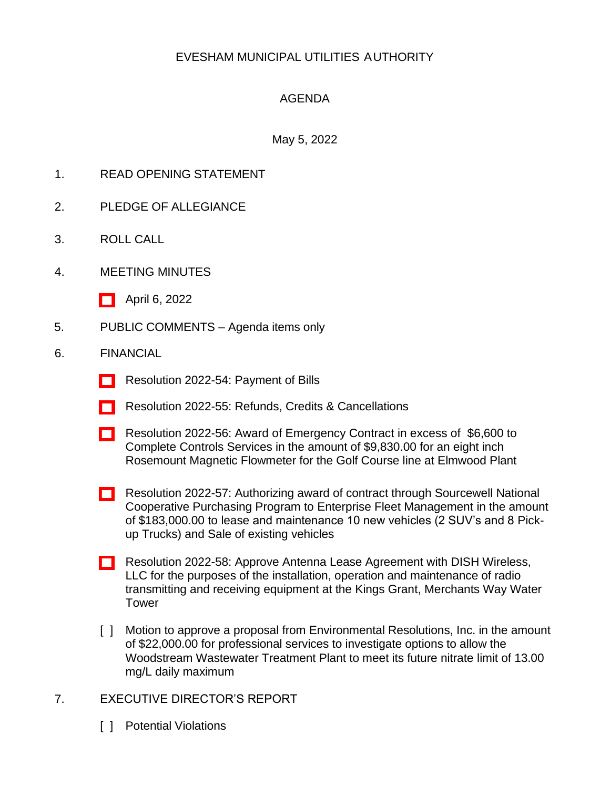# EVESHAM MUNICIPAL UTILITIES AUTHORITY

## AGENDA

### May 5, 2022

- 1. READ OPENING STATEMENT
- 2. PLEDGE OF ALLEGIANCE
- 3. ROLL CALL
- 4. MEETING MINUTES
	- [\[ \]](http://www.eveshammua.com/wp-content/uploads/2022/05/Aprilminutes-4-6-2022.pdf) April 6, 2022
- 5. PUBLIC COMMENTS Agenda items only
- 6. FINANCIAL
	- [\[ \]](http://www.eveshammua.com/wp-content/uploads/2022/05/Resolution-2022-54-April-Bill-List.pdf) Resolution 2022-54: Payment of Bills
	- [\[ \]](http://www.eveshammua.com/wp-content/uploads/2022/05/Resolution-2022-55-Refunds.pdf) Resolution 2022-55: Refunds, Credits & Cancellations
	- [\[ \]](http://www.eveshammua.com/wp-content/uploads/2022/05/Resolution-2022-56-Complete-Control-Services.pdf) Resolution 2022-56: Award of Emergency Contract in excess of \$6,600 to Complete Controls Services in the amount of \$9,830.00 for an eight inch Rosemount Magnetic Flowmeter for the Golf Course line at Elmwood Plant
	- [\[ \]](http://www.eveshammua.com/wp-content/uploads/2022/05/Resolution-2022-57-Enterprise-Fleet-Management.pdf) Resolution 2022-57: Authorizing award of contract through Sourcewell National Cooperative Purchasing Program to Enterprise Fleet Management in the amount of \$183,000.00 to lease and maintenance 10 new vehicles (2 SUV's and 8 Pickup Trucks) and Sale of existing vehicles
	- [] Resolution 2022-58: Approve Antenna Lease Agreement with DISH Wireless, LLC for the purposes of the installation, operation and maintenance of radio transmitting and receiving equipment at the Kings Grant, Merchants Way Water Tower
	- [ ] Motion to approve a proposal from Environmental Resolutions, Inc. in the amount of \$22,000.00 for professional services to investigate options to allow the Woodstream Wastewater Treatment Plant to meet its future nitrate limit of 13.00 mg/L daily maximum
- 7. EXECUTIVE DIRECTOR'S REPORT
	- [ ] Potential Violations